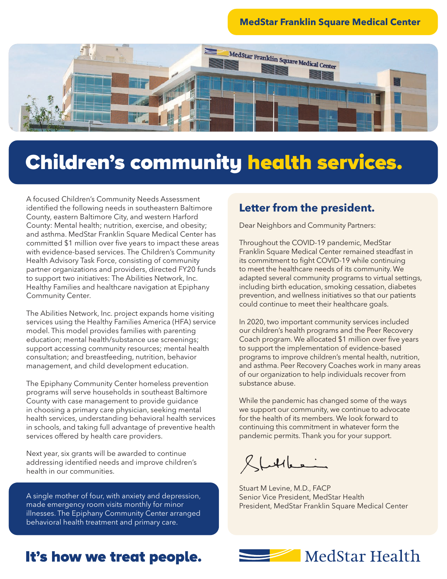#### **MedStar Franklin Square Medical Center**



## Children's community health services.

A focused Children's Community Needs Assessment identified the following needs in southeastern Baltimore County, eastern Baltimore City, and western Harford County: Mental health; nutrition, exercise, and obesity; and asthma. MedStar Franklin Square Medical Center has committed \$1 million over five years to impact these areas with evidence-based services. The Children's Community Health Advisory Task Force, consisting of community partner organizations and providers, directed FY20 funds to support two initiatives: The Abilities Network, Inc. Healthy Families and healthcare navigation at Epiphany Community Center.

The Abilities Network, Inc. project expands home visiting services using the Healthy Families America (HFA) service model. This model provides families with parenting education; mental health/substance use screenings; support accessing community resources; mental health consultation; and breastfeeding, nutrition, behavior management, and child development education.

The Epiphany Community Center homeless prevention programs will serve households in southeast Baltimore County with case management to provide guidance in choosing a primary care physician, seeking mental health services, understanding behavioral health services in schools, and taking full advantage of preventive health services offered by health care providers.

Next year, six grants will be awarded to continue addressing identified needs and improve children's health in our communities.

A single mother of four, with anxiety and depression, made emergency room visits monthly for minor illnesses. The Epiphany Community Center arranged behavioral health treatment and primary care.

#### **Letter from the president.**

Dear Neighbors and Community Partners:

Throughout the COVID-19 pandemic, MedStar Franklin Square Medical Center remained steadfast in its commitment to fight COVID-19 while continuing to meet the healthcare needs of its community. We adapted several community programs to virtual settings, including birth education, smoking cessation, diabetes prevention, and wellness initiatives so that our patients could continue to meet their healthcare goals.

In 2020, two important community services included our children's health programs and the Peer Recovery Coach program. We allocated \$1 million over five years to support the implementation of evidence-based programs to improve children's mental health, nutrition, and asthma. Peer Recovery Coaches work in many areas of our organization to help individuals recover from substance abuse.

While the pandemic has changed some of the ways we support our community, we continue to advocate for the health of its members. We look forward to continuing this commitment in whatever form the pandemic permits. Thank you for your support.

 $R$  hatches

Stuart M Levine, M.D., FACP Senior Vice President, MedStar Health President, MedStar Franklin Square Medical Center

### It's how we treat people.